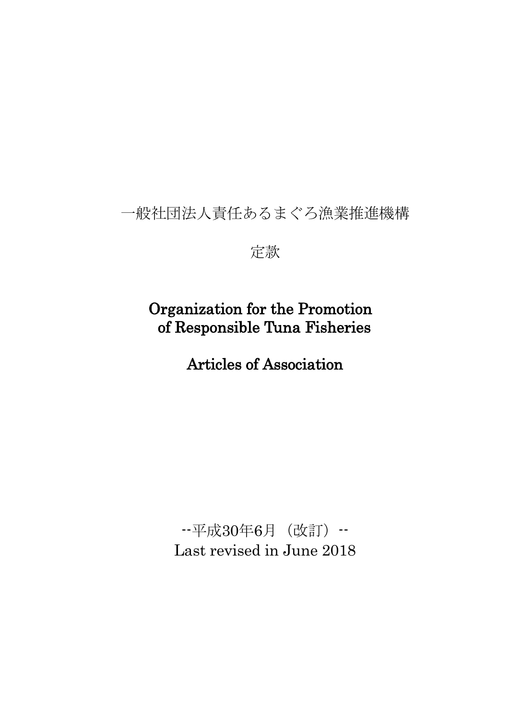# 一般社団法人責任あるまぐろ漁業推進機構

定款

# Organization for the Promotion of Responsible Tuna Fisheries

Articles of Association

--平成30年6月(改訂)-- Last revised in June 2018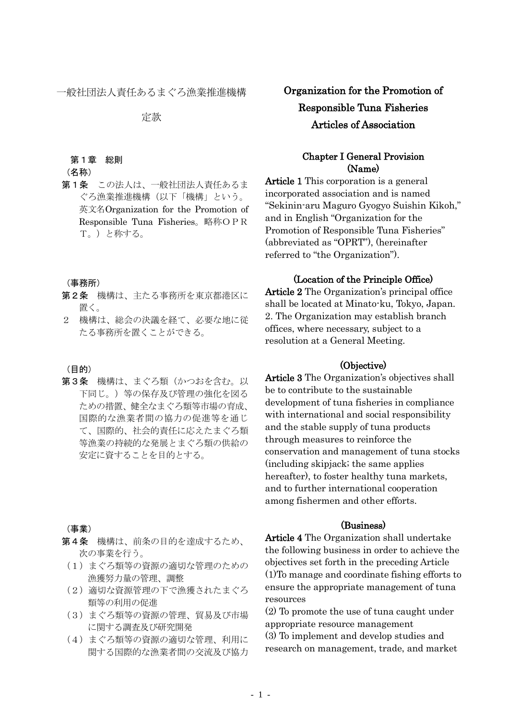一般社団法人責任あるまぐろ漁業推進機構

定款

#### 第1章 総則

# (名称)

第1条 この法人は、一般社団法人責任あるま ぐろ漁業推進機構(以下「機構」という。 英文名Organization for the Promotion of Responsible Tuna Fisheries。略称OPR T。)と称する。

#### (事務所)

- 第2条 機構は、主たる事務所を東京都港区に 置く。
- 2 機構は、総会の決議を経て、必要な地に従 たる事務所を置くことができる。

#### (目的)

第3条 機構は、まぐろ類(かつおを含む。以 下同じ。)等の保存及び管理の強化を図る ための措置、健全なまぐろ類等市場の育成、 国際的な漁業者間の協力の促進等を通じ て、国際的、社会的責任に応えたまぐろ類 等漁業の持続的な発展とまぐろ類の供給の 安定に資することを目的とする。

### (事業)

- 第4条 機構は、前条の目的を達成するため、 次の事業を行う。
	- (1)まぐろ類等の資源の適切な管理のための 漁獲努力量の管理、調整
	- (2)適切な資源管理の下で漁獲されたまぐろ 類等の利用の促進
	- (3)まぐろ類等の資源の管理、貿易及び市場 に関する調査及び研究開発
	- (4)まぐろ類等の資源の適切な管理、利用に 関する国際的な漁業者間の交流及び協力

Organization for the Promotion of Responsible Tuna Fisheries Articles of Association

# Chapter I General Provision (Name)

Article 1 This corporation is a general incorporated association and is named "Sekinin-aru Maguro Gyogyo Suishin Kikoh," and in English "Organization for the Promotion of Responsible Tuna Fisheries" (abbreviated as "OPRT"), (hereinafter referred to "the Organization").

### (Location of the Principle Office)

Article 2 The Organization's principal office shall be located at Minato-ku, Tokyo, Japan. 2. The Organization may establish branch offices, where necessary, subject to a resolution at a General Meeting.

### (Objective)

Article 3 The Organization's objectives shall be to contribute to the sustainable development of tuna fisheries in compliance with international and social responsibility and the stable supply of tuna products through measures to reinforce the conservation and management of tuna stocks (including skipjack; the same applies hereafter), to foster healthy tuna markets, and to further international cooperation among fishermen and other efforts.

### (Business)

Article 4 The Organization shall undertake the following business in order to achieve the objectives set forth in the preceding Article (1)To manage and coordinate fishing efforts to ensure the appropriate management of tuna resources

(2) To promote the use of tuna caught under appropriate resource management

(3) To implement and develop studies and research on management, trade, and market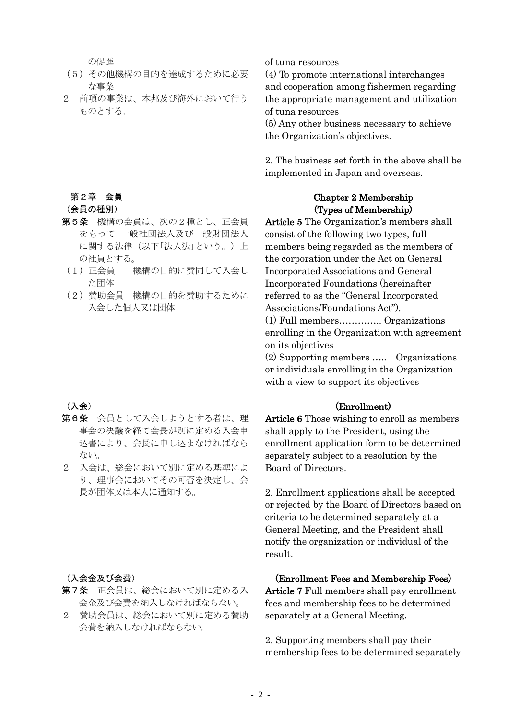の促進

- (5)その他機構の目的を達成するために必要 な事業
- 2 前項の事業は、本邦及び海外において行う ものとする。

# 第2章 会員

(会員の種別)

- 第5条 機構の会員は、次の2種とし、正会員 をもって 一般社団法人及び一般財団法人 に関する法律(以下「法人法」という。)上 の社員とする。
- (1)正会員 機構の目的に賛同して入会し た団体
- (2)賛助会員 機構の目的を賛助するために 入会した個人又は団体

# (入会)

- 第6条 会員として入会しようとする者は、理 事会の決議を経て会長が別に定める入会申 込書により、会長に申し込まなければなら ない。
- 2 入会は、総会において別に定める基準によ り、理事会においてその可否を決定し、会 長が団体又は本人に通知する。

### (入会金及び会費)

- 第7条 正会員は、総会において別に定める入 会金及び会費を納入しなければならない。
- 2 賛助会員は、総会において別に定める賛助 会費を納入しなければならない。

# of tuna resources

(4) To promote international interchanges and cooperation among fishermen regarding the appropriate management and utilization of tuna resources

(5) Any other business necessary to achieve the Organization's objectives.

2. The business set forth in the above shall be implemented in Japan and overseas.

# Chapter 2 Membership (Types of Membership)

Article 5 The Organization's members shall consist of the following two types, full members being regarded as the members of the corporation under the Act on General Incorporated Associations and General Incorporated Foundations (hereinafter referred to as the "General Incorporated Associations/Foundations Act"). (1) Full members………….. Organizations enrolling in the Organization with agreement on its objectives

(2) Supporting members ….. Organizations or individuals enrolling in the Organization with a view to support its objectives

# (Enrollment)

Article 6 Those wishing to enroll as members shall apply to the President, using the enrollment application form to be determined separately subject to a resolution by the Board of Directors.

2. Enrollment applications shall be accepted or rejected by the Board of Directors based on criteria to be determined separately at a General Meeting, and the President shall notify the organization or individual of the result.

# (Enrollment Fees and Membership Fees)

Article 7 Full members shall pay enrollment fees and membership fees to be determined separately at a General Meeting.

2. Supporting members shall pay their membership fees to be determined separately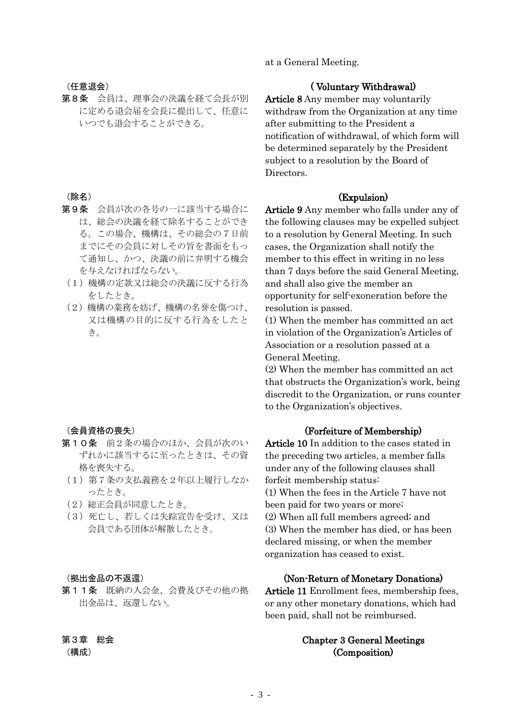(任意退会)

第8条 会員は、理事会の決議を経て会長が別 に定める退会届を会長に提出して、任意に いつでも退会することができる。

# (除名)

- 第9条 会員が次の各号の一に該当する場合に は、総会の決議を経て除名することができ る。この場合、機構は、その総会の7日前 までにその会員に対しその旨を書面をもっ て通知し、かつ、決議の前に弁明する機会 を与えなければならない。
- (1)機構の定款又は総会の決議に反する行為 をしたとき。
- (2)機構の業務を妨げ、機構の名誉を傷つけ、 又は機構の目的に反する行為をしたと き。

### (会員資格の喪失)

- 第10条 前2条の場合のほか、会員が次のい ずれかに該当するに至ったときは、その資 格を喪失する。
- (1)第7条の支払義務を2年以上履行しなか ったとき。
- (2)総正会員が同意したとき。
- (3)死亡し、若しくは失踪宣告を受け、又は 会員である団体が解散したとき。

### (拠出金品の不返還)

第11条 既納の入会金、会費及びその他の拠 出金品は、返還しない。

# 第3章 総会

(構成)

# at a General Meeting.

### ( Voluntary Withdrawal)

Article 8 Any member may voluntarily withdraw from the Organization at any time after submitting to the President a notification of withdrawal, of which form will be determined separately by the President subject to a resolution by the Board of Directors.

# (Expulsion)

Article 9 Any member who falls under any of the following clauses may be expelled subject to a resolution by General Meeting. In such cases, the Organization shall notify the member to this effect in writing in no less than 7 days before the said General Meeting, and shall also give the member an opportunity for self-exoneration before the resolution is passed.

(1) When the member has committed an act in violation of the Organization's Articles of Association or a resolution passed at a General Meeting.

(2) When the member has committed an act that obstructs the Organization's work, being discredit to the Organization, or runs counter to the Organization's objectives.

#### (Forfeiture of Membership)

Article 10 In addition to the cases stated in the preceding two articles, a member falls under any of the following clauses shall forfeit membership status: (1) When the fees in the Article 7 have not been paid for two years or more; (2) When all full members agreed; and (3) When the member has died, or has been declared missing, or when the member organization has ceased to exist.

# (Non-Return of Monetary Donations)

Article 11 Enrollment fees, membership fees, or any other monetary donations, which had been paid, shall not be reimbursed.

# Chapter 3 General Meetings (Composition)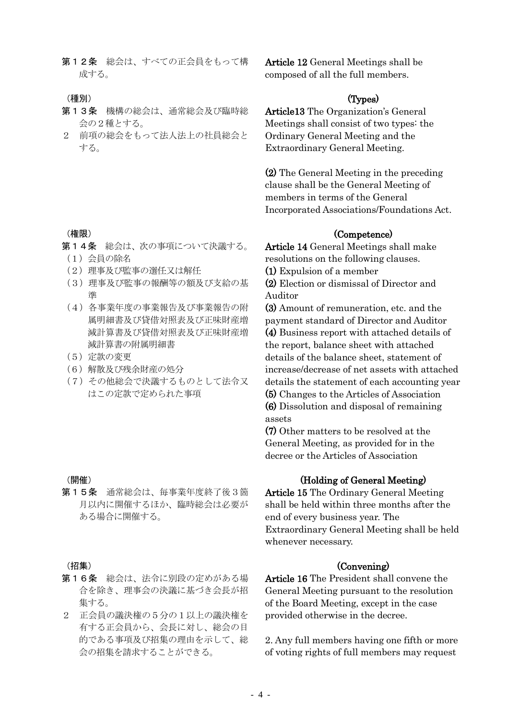第12条 総会は、すべての正会員をもって構 成する。

#### (種別)

- 第13条 機構の総会は、通常総会及び臨時総 会の2種とする。
- 2 前項の総会をもって法人法上の社員総会と する。

# (権限)

- 第14条 総会は、次の事項について決議する。 (1)会員の除名
- (2)理事及び監事の選任又は解任
- (3)理事及び監事の報酬等の額及び支給の基
- 準
- (4)各事業年度の事業報告及び事業報告の附 属明細書及び貸借対照表及び正味財産増 減計算書及び貸借対照表及び正味財産増 減計算書の附属明細書
- (5)定款の変更
- (6)解散及び残余財産の処分
- (7)その他総会で決議するものとして法令又 はこの定款で定められた事項

### (開催)

第15条 通常総会は、毎事業年度終了後3箇 月以内に開催するほか、臨時総会は必要が ある場合に開催する。

#### (招集)

- 第16条 総会は、法令に別段の定めがある場 合を除き、理事会の決議に基づき会長が招 集する。
- 2 正会員の議決権の5分の1以上の議決権を 有する正会員から、会長に対し、総会の目 的である事項及び招集の理由を示して、総 会の招集を請求することができる。

Article 12 General Meetings shall be composed of all the full members.

### (Types)

Article13 The Organization's General Meetings shall consist of two types: the Ordinary General Meeting and the Extraordinary General Meeting.

(2) The General Meeting in the preceding clause shall be the General Meeting of members in terms of the General Incorporated Associations/Foundations Act.

### (Competence)

Article 14 General Meetings shall make resolutions on the following clauses.

(1) Expulsion of a member

(2) Election or dismissal of Director and Auditor

(3) Amount of remuneration, etc. and the payment standard of Director and Auditor (4) Business report with attached details of the report, balance sheet with attached details of the balance sheet, statement of increase/decrease of net assets with attached details the statement of each accounting year (5) Changes to the Articles of Association (6) Dissolution and disposal of remaining

assets

(7) Other matters to be resolved at the General Meeting, as provided for in the decree or the Articles of Association

# (Holding of General Meeting)

Article 15 The Ordinary General Meeting shall be held within three months after the end of every business year. The Extraordinary General Meeting shall be held whenever necessary.

# (Convening)

Article 16 The President shall convene the General Meeting pursuant to the resolution of the Board Meeting, except in the case provided otherwise in the decree.

2. Any full members having one fifth or more of voting rights of full members may request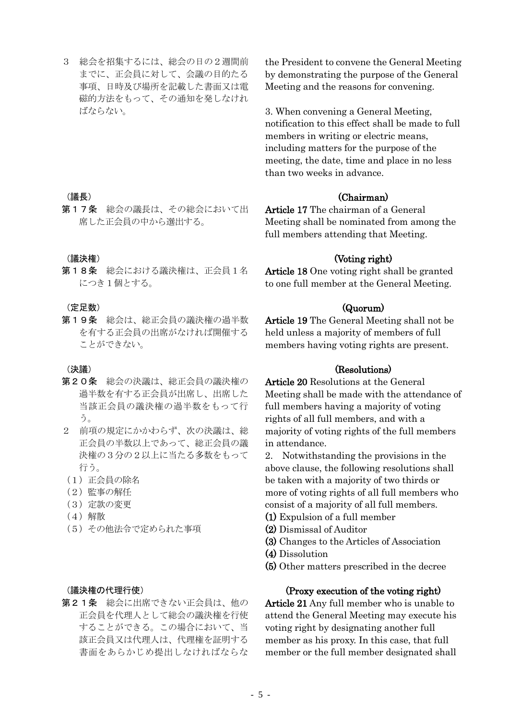3 総会を招集するには、総会の日の2週間前 までに、正会員に対して、会議の目的たる 事項、日時及び場所を記載した書面又は電 磁的方法をもって、その通知を発しなけれ ばならない。

(議長)

第17条 総会の議長は、その総会において出 席した正会員の中から選出する。

(議決権)

第18条 総会における議決権は、正会員1名 につき1個とする。

(定足数)

第19条 総会は、総正会員の議決権の過半数 を有する正会員の出席がなければ開催する ことができない。

(決議)

- 第20条 総会の決議は、総正会員の議決権の 過半数を有する正会員が出席し、出席した 当該正会員の議決権の過半数をもって行 う。
- 2 前項の規定にかかわらず、次の決議は、総 正会員の半数以上であって、総正会員の議 決権の3分の2以上に当たる多数をもって 行う。
- (1)正会員の除名
- (2)監事の解任
- (3)定款の変更
- (4)解散
- (5)その他法令で定められた事項

# (議決権の代理行使)

第21条 総会に出席できない正会員は、他の 正会員を代理人として総会の議決権を行使 することができる。この場合において、当 該正会員又は代理人は、代理権を証明する 書面をあらかじめ提出しなければならな the President to convene the General Meeting by demonstrating the purpose of the General Meeting and the reasons for convening.

3. When convening a General Meeting, notification to this effect shall be made to full members in writing or electric means, including matters for the purpose of the meeting, the date, time and place in no less than two weeks in advance.

### (Chairman)

Article 17 The chairman of a General Meeting shall be nominated from among the full members attending that Meeting.

### (Voting right)

Article 18 One voting right shall be granted to one full member at the General Meeting.

### (Quorum)

Article 19 The General Meeting shall not be held unless a majority of members of full members having voting rights are present.

# (Resolutions)

Article 20 Resolutions at the General Meeting shall be made with the attendance of full members having a majority of voting rights of all full members, and with a majority of voting rights of the full members in attendance.

2. Notwithstanding the provisions in the above clause, the following resolutions shall be taken with a majority of two thirds or more of voting rights of all full members who consist of a majority of all full members.

- (1) Expulsion of a full member
- (2) Dismissal of Auditor
- (3) Changes to the Articles of Association
- (4) Dissolution
- (5) Other matters prescribed in the decree

#### (Proxy execution of the voting right)

Article 21 Any full member who is unable to attend the General Meeting may execute his voting right by designating another full member as his proxy. In this case, that full member or the full member designated shall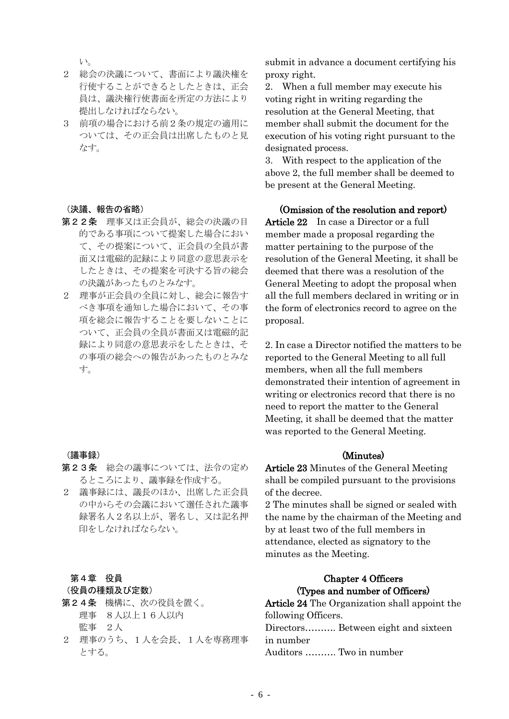い。

- 2 総会の決議について、書面により議決権を 行使することができるとしたときは、正会 員は、議決権行使書面を所定の方法により 提出しなければならない。
- 3 前項の場合における前2条の規定の適用に ついては、その正会員は出席したものと見 なす。

# (決議、報告の省略)

- 第22条 理事又は正会員が、総会の決議の目 的である事項について提案した場合におい て、その提案について、正会員の全員が書 面又は電磁的記録により同意の意思表示を したときは、その提案を可決する旨の総会 の決議があったものとみなす。
- 2 理事が正会員の全員に対し、総会に報告す べき事項を通知した場合において、その事 項を総会に報告することを要しないことに ついて、正会員の全員が書面又は電磁的記 録により同意の意思表示をしたときは、そ の事項の総会への報告があったものとみな す。

### (議事録)

- 第23条 総会の議事については、法令の定め るところにより、議事録を作成する。
- 2 議事録には、議長のほか、出席した正会員 の中からその会議において選任された議事 録署名人2名以上が、署名し、又は記名押 印をしなければならない。

# 第4章 役員

# (役員の種類及び定数)

- 第24条 機構に、次の役員を置く。 理事 8人以上16人以内 監事 2人
- 2 理事のうち、1人を会長、1人を専務理事 とする。

submit in advance a document certifying his proxy right.

2. When a full member may execute his voting right in writing regarding the resolution at the General Meeting, that member shall submit the document for the execution of his voting right pursuant to the designated process.

3. With respect to the application of the above 2, the full member shall be deemed to be present at the General Meeting.

### (Omission of the resolution and report)

Article 22 In case a Director or a full member made a proposal regarding the matter pertaining to the purpose of the resolution of the General Meeting, it shall be deemed that there was a resolution of the General Meeting to adopt the proposal when all the full members declared in writing or in the form of electronics record to agree on the proposal.

2. In case a Director notified the matters to be reported to the General Meeting to all full members, when all the full members demonstrated their intention of agreement in writing or electronics record that there is no need to report the matter to the General Meeting, it shall be deemed that the matter was reported to the General Meeting.

### (Minutes)

Article 23 Minutes of the General Meeting shall be compiled pursuant to the provisions of the decree.

2 The minutes shall be signed or sealed with the name by the chairman of the Meeting and by at least two of the full members in attendance, elected as signatory to the minutes as the Meeting.

# Chapter 4 Officers (Types and number of Officers)

Article 24 The Organization shall appoint the following Officers. Directors………. Between eight and sixteen in number Auditors ………. Two in number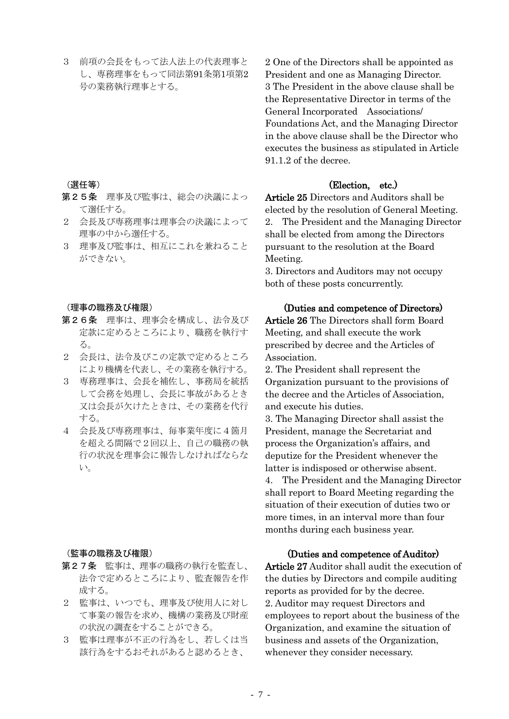3 前項の会長をもって法人法上の代表理事と し、専務理事をもって同法第91条第1項第2 号の業務執行理事とする。

(選任等)

- 第25条 理事及び監事は、総会の決議によっ て選任する。
- 2 会長及び専務理事は理事会の決議によって 理事の中から選任する。
- 3 理事及び監事は、相互にこれを兼ねること ができない。

#### (理事の職務及び権限)

- 第26条 理事は、理事会を構成し、法令及び 定款に定めるところにより、職務を執行す る。
- 2 会長は、法令及びこの定款で定めるところ により機構を代表し、その業務を執行する。
- 3 専務理事は、会長を補佐し、事務局を統括 して会務を処理し、会長に事故があるとき 又は会長が欠けたときは、その業務を代行 する。
- 4 会長及び専務理事は、毎事業年度に4箇月 を超える間隔で2回以上、自己の職務の執 行の状況を理事会に報告しなければならな い。

#### (監事の職務及び権限)

- 第27条 監事は、理事の職務の執行を監査し、 法令で定めるところにより、監査報告を作 成する。
- 2 監事は、いつでも、理事及び使用人に対し て事業の報告を求め、機構の業務及び財産 の状況の調査をすることができる。
- 3 監事は理事が不正の行為をし、若しくは当 該行為をするおそれがあると認めるとき、

2 One of the Directors shall be appointed as President and one as Managing Director. 3 The President in the above clause shall be the Representative Director in terms of the General Incorporated Associations/ Foundations Act, and the Managing Director in the above clause shall be the Director who executes the business as stipulated in Article 91.1.2 of the decree.

# (Election, etc.)

Article 25 Directors and Auditors shall be elected by the resolution of General Meeting. 2. The President and the Managing Director shall be elected from among the Directors pursuant to the resolution at the Board Meeting.

3. Directors and Auditors may not occupy both of these posts concurrently.

### (Duties and competence of Directors)

Article 26 The Directors shall form Board Meeting, and shall execute the work prescribed by decree and the Articles of Association.

2. The President shall represent the Organization pursuant to the provisions of the decree and the Articles of Association, and execute his duties.

3. The Managing Director shall assist the President, manage the Secretariat and process the Organization's affairs, and deputize for the President whenever the latter is indisposed or otherwise absent. 4. The President and the Managing Director shall report to Board Meeting regarding the situation of their execution of duties two or

more times, in an interval more than four months during each business year.

### (Duties and competence of Auditor)

Article 27 Auditor shall audit the execution of the duties by Directors and compile auditing reports as provided for by the decree. 2. Auditor may request Directors and employees to report about the business of the Organization, and examine the situation of business and assets of the Organization, whenever they consider necessary.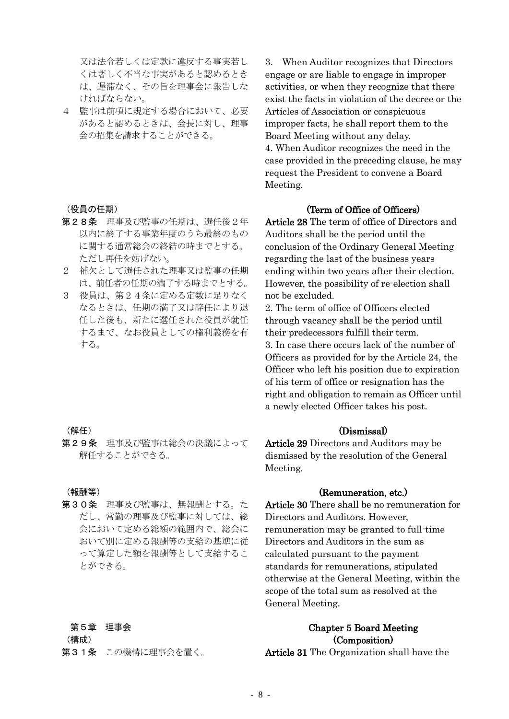又は法令若しくは定款に違反する事実若し くは著しく不当な事実があると認めるとき は、遅滞なく、その旨を理事会に報告しな ければならない。

4 監事は前項に規定する場合において、必要 があると認めるときは、会長に対し、理事 会の招集を請求することができる。

### (役員の任期)

- 第28条 理事及び監事の任期は、選任後2年 以内に終了する事業年度のうち最終のもの に関する通常総会の終結の時までとする。 ただし再任を妨げない。
- 2 補欠として選任された理事又は監事の任期 は、前任者の任期の満了する時までとする。
- 3 役員は、第24条に定める定数に足りなく なるときは、任期の満了又は辞任により退 任した後も、新たに選任された役員が就任 するまで、なお役員としての権利義務を有 する。

### (解任)

第29条 理事及び監事は総会の決議によって 解任することができる。

(報酬等)

第30条 理事及び監事は、無報酬とする。た だし、常勤の理事及び監事に対しては、総 会において定める総額の範囲内で、総会に おいて別に定める報酬等の支給の基準に従 って算定した額を報酬等として支給するこ とができる。

#### 第5章 理事会

(構成)

第31条 この機構に理事会を置く。

3. When Auditor recognizes that Directors engage or are liable to engage in improper activities, or when they recognize that there exist the facts in violation of the decree or the Articles of Association or conspicuous improper facts, he shall report them to the Board Meeting without any delay. 4. When Auditor recognizes the need in the case provided in the preceding clause, he may request the President to convene a Board Meeting.

# (Term of Office of Officers)

Article 28 The term of office of Directors and Auditors shall be the period until the conclusion of the Ordinary General Meeting regarding the last of the business years ending within two years after their election. However, the possibility of re-election shall not be excluded.

2. The term of office of Officers elected through vacancy shall be the period until their predecessors fulfill their term. 3. In case there occurs lack of the number of Officers as provided for by the Article 24, the Officer who left his position due to expiration of his term of office or resignation has the right and obligation to remain as Officer until a newly elected Officer takes his post.

### (Dismissal)

Article 29 Directors and Auditors may be dismissed by the resolution of the General Meeting.

# (Remuneration, etc.)

Article 30 There shall be no remuneration for Directors and Auditors. However, remuneration may be granted to full-time Directors and Auditors in the sum as calculated pursuant to the payment standards for remunerations, stipulated otherwise at the General Meeting, within the scope of the total sum as resolved at the General Meeting.

# Chapter 5 Board Meeting (Composition)

Article 31 The Organization shall have the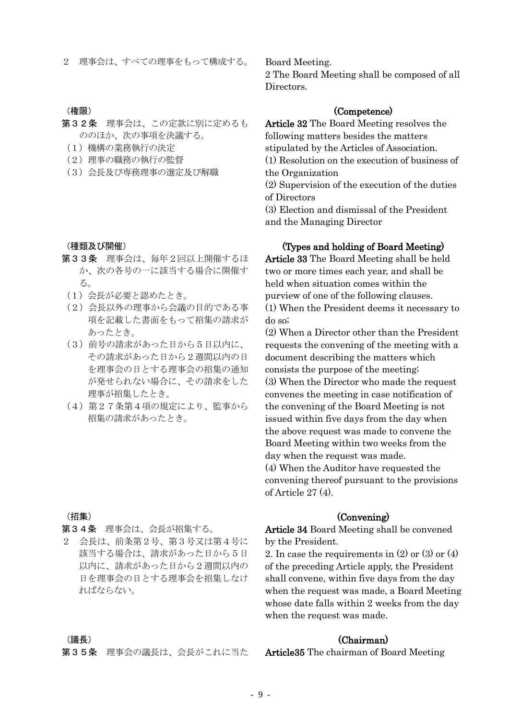2 理事会は、すべての理事をもって構成する。

### (権限)

- 第32条 理事会は、この定款に別に定めるも ののほか、次の事項を決議する。
- (1)機構の業務執行の決定
- (2)理事の職務の執行の監督
- (3)会長及び専務理事の選定及び解職

#### (種類及び開催)

- 第33条 理事会は、毎年2回以上開催するほ か、次の各号の一に該当する場合に開催す る。
	- (1)会長が必要と認めたとき。
	- (2)会長以外の理事から会議の目的である事 項を記載した書面をもって招集の請求が あったとき。
	- (3)前号の請求があった日から5日以内に、 その請求があった日から2週間以内の日 を理事会の日とする理事会の招集の通知 が発せられない場合に、その請求をした 理事が招集したとき。
	- (4)第27条第4項の規定により、監事から 招集の請求があったとき。

### (招集)

第34条 理事会は、会長が招集する。

2 会長は、前条第2号、第3号又は第4号に 該当する場合は、請求があった日から5日 以内に、請求があった日から2週間以内の 日を理事会の日とする理事会を招集しなけ ればならない。

Board Meeting.

2 The Board Meeting shall be composed of all Directors.

### (Competence)

Article 32 The Board Meeting resolves the following matters besides the matters stipulated by the Articles of Association. (1) Resolution on the execution of business of the Organization (2) Supervision of the execution of the duties of Directors (3) Election and dismissal of the President and the Managing Director

# (Types and holding of Board Meeting)

Article 33 The Board Meeting shall be held two or more times each year, and shall be held when situation comes within the purview of one of the following clauses. (1) When the President deems it necessary to do so;

(2) When a Director other than the President requests the convening of the meeting with a document describing the matters which consists the purpose of the meeting; (3) When the Director who made the request convenes the meeting in case notification of the convening of the Board Meeting is not issued within five days from the day when the above request was made to convene the Board Meeting within two weeks from the day when the request was made. (4) When the Auditor have requested the convening thereof pursuant to the provisions of Article 27 (4).

### (Convening)

Article 34 Board Meeting shall be convened by the President.

2. In case the requirements in (2) or (3) or (4) of the preceding Article apply, the President shall convene, within five days from the day when the request was made, a Board Meeting whose date falls within 2 weeks from the day when the request was made.

### (Chairman)

# (議長)

第35条 理事会の議長は、会長がこれに当た

Article35 The chairman of Board Meeting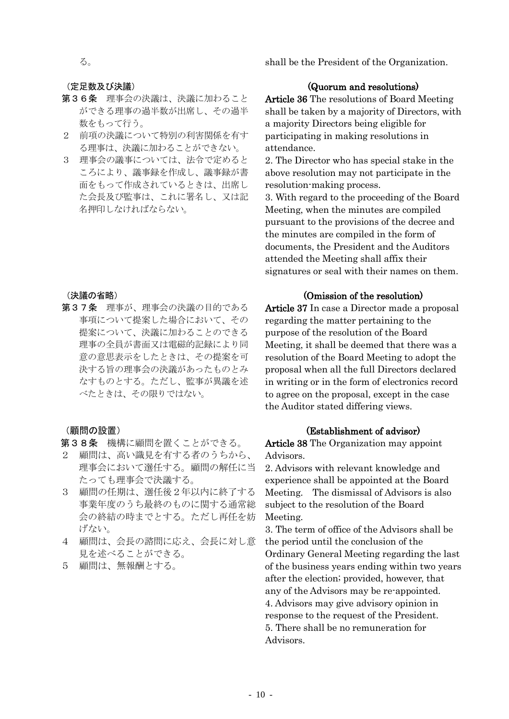shall be the President of the Organization.

る。

### (定足数及び決議)

- 第36条 理事会の決議は、決議に加わること ができる理事の過半数が出席し、その過半 数をもって行う。
- 2 前項の決議について特別の利害関係を有す る理事は、決議に加わることができない。
- 3 理事会の議事については、法令で定めると ころにより、議事録を作成し、議事録が書 面をもって作成されているときは、出席し た会長及び監事は、これに署名し、又は記 名押印しなければならない。

# (決議の省略)

第37条 理事が、理事会の決議の目的である 事項について提案した場合において、その 提案について、決議に加わることのできる 理事の全員が書面又は電磁的記録により同 意の意思表示をしたときは、その提案を可 決する旨の理事会の決議があったものとみ なすものとする。ただし、監事が異議を述 べたときは、その限りではない。

(顧問の設置)

### 第38条 機構に顧問を置くことができる。

- 2 顧問は、高い識見を有する者のうちから、 理事会において選任する。顧問の解任に当 たっても理事会で決議する。
- 3 顧問の任期は、選任後2年以内に終了する 事業年度のうち最終のものに関する通常総 会の終結の時までとする。ただし再任を妨 げない。
- 4 顧問は、会長の諮問に応え、会長に対し意 見を述べることができる。
- 5 顧問は、無報酬とする。

# (Quorum and resolutions)

Article 36 The resolutions of Board Meeting shall be taken by a majority of Directors, with a majority Directors being eligible for participating in making resolutions in attendance.

2. The Director who has special stake in the above resolution may not participate in the resolution-making process.

3. With regard to the proceeding of the Board Meeting, when the minutes are compiled pursuant to the provisions of the decree and the minutes are compiled in the form of documents, the President and the Auditors attended the Meeting shall affix their signatures or seal with their names on them.

# (Omission of the resolution)

Article 37 In case a Director made a proposal regarding the matter pertaining to the purpose of the resolution of the Board Meeting, it shall be deemed that there was a resolution of the Board Meeting to adopt the proposal when all the full Directors declared in writing or in the form of electronics record to agree on the proposal, except in the case the Auditor stated differing views.

# (Establishment of advisor)

Article 38 The Organization may appoint Advisors.

2. Advisors with relevant knowledge and experience shall be appointed at the Board Meeting. The dismissal of Advisors is also subject to the resolution of the Board Meeting.

3. The term of office of the Advisors shall be the period until the conclusion of the Ordinary General Meeting regarding the last of the business years ending within two years after the election; provided, however, that any of the Advisors may be re-appointed. 4. Advisors may give advisory opinion in response to the request of the President. 5. There shall be no remuneration for Advisors.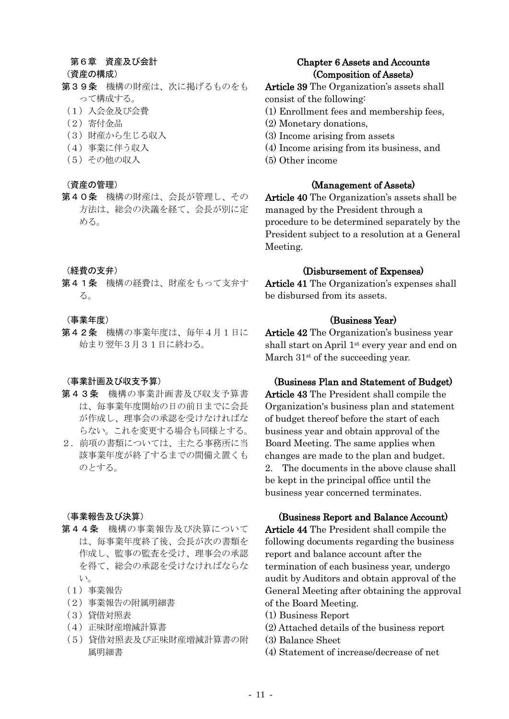### 第6章 資産及び会計

### (資産の構成)

- 第39条 機構の財産は、次に掲げるものをも って構成する。
	- (1)入会金及び会費
- (2)寄付金品
- (3)財産から生じる収入
- (4)事業に伴う収入
- (5)その他の収入

### (資産の管理)

第40条 機構の財産は、会長が管理し、その 方法は、総会の決議を経て、会長が別に定 める。

### (経費の支弁)

第41条 機構の経費は、財産をもって支弁す る。

### (事業年度)

第42条 機構の事業年度は、毎年4月1日に 始まり翌年3月31日に終わる。

### (事業計画及び収支予算)

- 第43条 機構の事業計画書及び収支予算書 は、毎事業年度開始の日の前日までに会長 が作成し、理事会の承認を受けなければな らない。これを変更する場合も同様とする。
- 2. 前項の書類については、主たる事務所に当 該事業年度が終了するまでの間備え置くも のとする。

### (事業報告及び決算)

- 第44条 機構の事業報告及び決算について は、毎事業年度終了後、会長が次の書類を 作成し、監事の監査を受け、理事会の承認 を得て、総会の承認を受けなければならな い。
- (1)事業報告
- (2)事業報告の附属明細書
- (3)貸借対照表
- (4)正味財産増減計算書
- (5)貸借対照表及び正味財産増減計算書の附 属明細書

# Chapter 6 Assets and Accounts (Composition of Assets)

- Article 39 The Organization's assets shall consist of the following:
- (1) Enrollment fees and membership fees,
- (2) Monetary donations,
- (3) Income arising from assets
- (4) Income arising from its business, and
- (5) Other income

# (Management of Assets)

Article 40 The Organization's assets shall be managed by the President through a procedure to be determined separately by the President subject to a resolution at a General Meeting.

### (Disbursement of Expenses)

Article 41 The Organization's expenses shall be disbursed from its assets.

# (Business Year)

Article 42 The Organization's business year shall start on April 1st every year and end on March  $31<sup>st</sup>$  of the succeeding year.

# (Business Plan and Statement of Budget)

Article 43 The President shall compile the Organization's business plan and statement of budget thereof before the start of each business year and obtain approval of the Board Meeting. The same applies when changes are made to the plan and budget. 2. The documents in the above clause shall be kept in the principal office until the business year concerned terminates.

### (Business Report and Balance Account)

Article 44 The President shall compile the following documents regarding the business report and balance account after the termination of each business year, undergo audit by Auditors and obtain approval of the General Meeting after obtaining the approval of the Board Meeting.

- (1) Business Report
- (2) Attached details of the business report
- (3) Balance Sheet
- (4) Statement of increase/decrease of net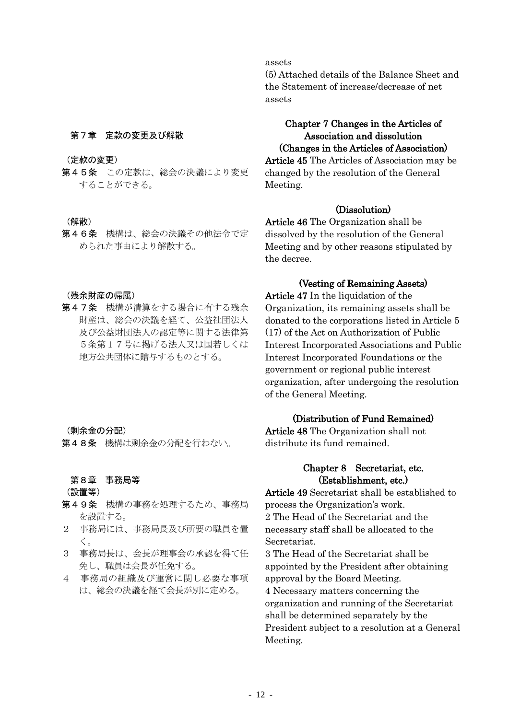# 第7章 定款の変更及び解散

#### (定款の変更)

第45条 この定款は、総会の決議により変更 することができる。

### (解散)

第46条 機構は、総会の決議その他法令で定 められた事由により解散する。

### (残余財産の帰属)

第47条 機構が清算をする場合に有する残余 財産は、総会の決議を経て、公益社団法人 及び公益財団法人の認定等に関する法律第 5条第17号に掲げる法人又は国若しくは 地方公共団体に贈与するものとする。

### (剰余金の分配)

第48条 機構は剰余金の分配を行わない。

### 第8章 事務局等

#### (設置等)

- 第49条 機構の事務を処理するため、事務局 を設置する。
- 2 事務局には、事務局長及び所要の職員を置 く。
- 3 事務局長は、会長が理事会の承認を得て任 免し、職員は会長が任免する。
- 4 事務局の組織及び運営に関し必要な事項 は、総会の決議を経て会長が別に定める。

# assets

(5) Attached details of the Balance Sheet and the Statement of increase/decrease of net assets

# Chapter 7 Changes in the Articles of Association and dissolution (Changes in the Articles of Association)

Article 45 The Articles of Association may be changed by the resolution of the General Meeting.

# (Dissolution)

Article 46 The Organization shall be dissolved by the resolution of the General Meeting and by other reasons stipulated by the decree.

### (Vesting of Remaining Assets)

Article 47 In the liquidation of the Organization, its remaining assets shall be donated to the corporations listed in Article 5 (17) of the Act on Authorization of Public Interest Incorporated Associations and Public Interest Incorporated Foundations or the government or regional public interest organization, after undergoing the resolution of the General Meeting.

# (Distribution of Fund Remained)

Article 48 The Organization shall not distribute its fund remained.

# Chapter 8 Secretariat, etc. (Establishment, etc.)

Article 49 Secretariat shall be established to process the Organization's work. 2 The Head of the Secretariat and the necessary staff shall be allocated to the Secretariat.

3 The Head of the Secretariat shall be appointed by the President after obtaining approval by the Board Meeting. 4 Necessary matters concerning the organization and running of the Secretariat shall be determined separately by the President subject to a resolution at a General Meeting.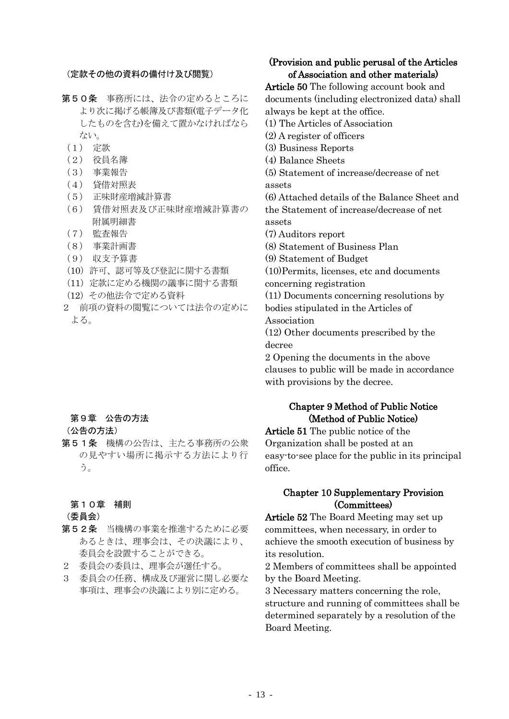### (定款その他の資料の備付け及び閲覧)

- 第50条 事務所には、法令の定めるところに より次に掲げる帳簿及び書類(電子データ化 したものを含む)を備えて置かなければなら ない。
	- (1) 定款
	- (2) 役員名簿
	- (3) 事業報告
	- (4) 貸借対照表
	- (5) 正味財産増減計算書
	- (6) 賃借対照表及び正味財産増減計算書の 附属明細書
	- (7) 監査報告
	- (8) 事業計画書
	- (9) 収支予算書
	- (10)許可、認可等及び登記に関する書類
	- (11)定款に定める機関の議事に関する書類
- (12)その他法令で定める資料
- 2 前項の資料の閲覧については法令の定めに よる。

# 第9章 公告の方法

- (公告の方法)
- 第51条 機構の公告は、主たる事務所の公衆 の見やすい場所に掲示する方法により行 う。

### 第10章 補則

(委員会)

- 第52条 当機構の事業を推進するために必要 あるときは、理事会は、その決議により、 委員会を設置することができる。
- 2 委員会の委員は、理事会が選任する。
- 3 委員会の任務、構成及び運営に関し必要な 事項は、理事会の決議により別に定める。

# (Provision and public perusal of the Articles of Association and other materials)

Article 50 The following account book and documents (including electronized data) shall always be kept at the office.

- (1) The Articles of Association
- (2) A register of officers
- (3) Business Reports
- (4) Balance Sheets
- (5) Statement of increase/decrease of net assets

(6) Attached details of the Balance Sheet and the Statement of increase/decrease of net assets

(7) Auditors report

(8) Statement of Business Plan

(9) Statement of Budget

(10)Permits, licenses, etc and documents concerning registration

(11) Documents concerning resolutions by bodies stipulated in the Articles of Association

(12) Other documents prescribed by the decree

2 Opening the documents in the above clauses to public will be made in accordance with provisions by the decree.

# Chapter 9 Method of Public Notice (Method of Public Notice)

Article 51 The public notice of the Organization shall be posted at an easy-to-see place for the public in its principal office.

# Chapter 10 Supplementary Provision (Committees)

Article 52 The Board Meeting may set up committees, when necessary, in order to achieve the smooth execution of business by its resolution.

2 Members of committees shall be appointed by the Board Meeting.

3 Necessary matters concerning the role, structure and running of committees shall be determined separately by a resolution of the Board Meeting.